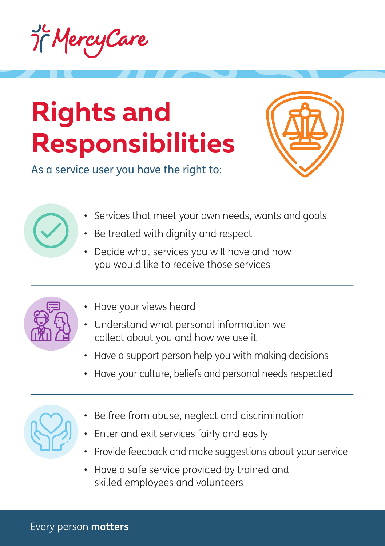

## **Rights and Responsibilities**



As a service user you have the right to:

- Services that meet your own needs, wants and goals
- Be treated with dignity and respect
- Decide what services you will have and how you would like to receive those services



- Have your views heard
- Understand what personal information we collect about you and how we use it
- Have a support person help you with making decisions
- Have your culture, beliefs and personal needs respected



- Be free from abuse, neglect and discrimination
- Enter and exit services fairly and easily
- Provide feedback and make suggestions about your service
- Have a safe service provided by trained and skilled employees and volunteers